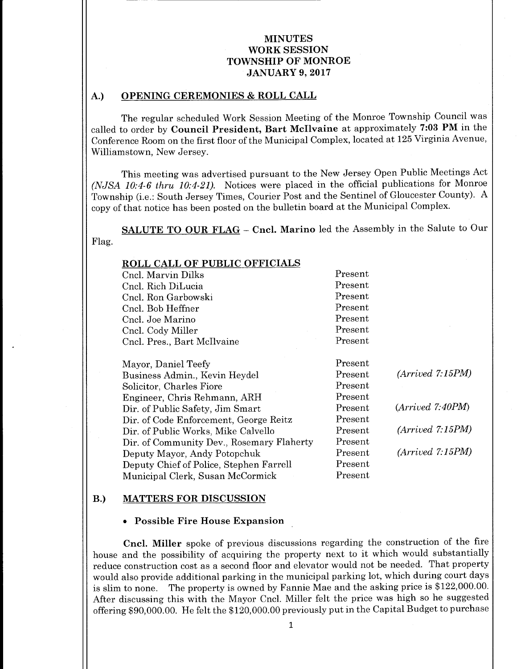#### A.) OPENING CEREMONIES & ROLL CALL

The regular scheduled Work Session Meeting of the Monroe Township Council was called to order by Council President, Bart McIlvaine at approximately 7:03 PM in the Conference Room on the first floor of the Municipal Complex, located at 125 Virginia Avenue, Williamstown, New Jersey.

This meeting was advertised pursuant to the New Jersey Open Public Meetings Act (NJSA 10:4-6 thru 10:4-21). Notices were placed in the official publications for Monroe Township (i.e.: South Jersey Times, Courier Post and the Sentinel of Gloucester County). A copy of that notice has been posted on the bulletin board at the Municipal Complex.

SALUTE TO OUR FLAG - Cncl. Marino led the Assembly in the Salute to Our Flag.

| <b>ROLL CALL OF PUBLIC OFFICIALS</b>      |         |                  |
|-------------------------------------------|---------|------------------|
| Cncl. Marvin Dilks                        | Present |                  |
| Cncl. Rich DiLucia                        | Present |                  |
| Cncl. Ron Garbowski                       | Present |                  |
| Cncl. Bob Heffner                         | Present |                  |
| Cncl. Joe Marino                          | Present |                  |
| Cncl. Cody Miller                         | Present |                  |
| Cncl. Pres., Bart McIlvaine               | Present |                  |
| Mayor, Daniel Teefy                       | Present |                  |
| Business Admin., Kevin Heydel             | Present | (Arived 7:15PM)  |
| Solicitor, Charles Fiore                  | Present |                  |
| Engineer, Chris Rehmann, ARH              | Present |                  |
| Dir. of Public Safety, Jim Smart          | Present | (Arrived 7:40PM) |
| Dir. of Code Enforcement, George Reitz    | Present |                  |
| Dir. of Public Works, Mike Calvello       | Present | (Arived 7:15PM)  |
| Dir. of Community Dev., Rosemary Flaherty | Present |                  |
| Deputy Mayor, Andy Potopchuk              | Present | (Arrived 7:15PM) |
| Deputy Chief of Police, Stephen Farrell   | Present |                  |
| Municipal Clerk, Susan McCormick          | Present |                  |

#### B.) MATTERS FOR DISCUSSION

#### Possible Fire House Expansion

Cncl. Miller spoke of previous discussions regarding the construction of the fire house and the possibility of acquiring the property next to it which would substantially reduce construction cost as <sup>a</sup> second floor and elevator would not be needed. That property would also provide additional parking in the municipal parking lot, which during court days is slim to none. The property is owned by Fannie Mae and the asking price is \$122,000.00. After discussing this with the Mayor Cncl. Miller felt the price was high so he suggested offering \$90,000.00. He felt the \$120,000.00 previously put in the Capital Budget to purchase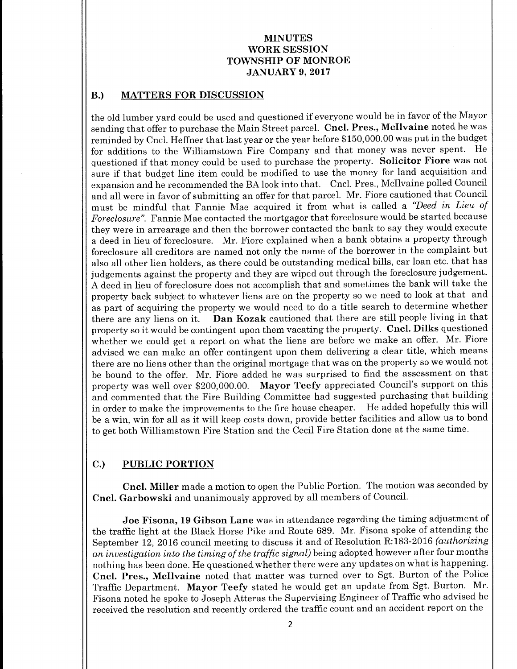# B.) MATTERS FOR DISCUSSION

the old lumber yard could be used and questioned if everyone would be in favor of the Mayor sending that offer to purchase the Main Street parcel. Cncl. Pres., McIlvaine noted he was reminded by Cncl. Heffner that last year or the year before \$ 150, 000.00 was put in the budget for additions to the Williamstown Fire Company and that money was never spent. He questioned if that money could be used to purchase the property. Solicitor Fiore was not sure if that budget line item could be modified to use the money for land acquisition and expansion and he recommended the BA look into that. Cncl. Pres., Mcllvaine polled Council and all were in favor of submitting an offer for that parcel. Mr. Fiore cautioned that Council must be mindful that Fannie Mae acquired it from what is called a "Deed in Lieu of Foreclosure". Fannie Mae contacted the mortgagor that foreclosure would be started because they were in arrearage and then the borrower contacted the bank to say they would execute <sup>a</sup> deed in lieu of foreclosure. Mr. Fiore explained when <sup>a</sup> bank obtains a property through foreclosure all creditors are named not only the name of the borrower in the complaint but also all other lien holders, as there could be outstanding medical bills, car loan etc. that has judgements against the property and they are wiped out through the foreclosure judgement. A deed in lieu of foreclosure does not accomplish that and sometimes the bank will take the property back subject to whatever liens are on the property so we need to look at that and as part of acquiring the property we would need to do a title search to determine whether there are any liens on it. Dan Kozak cautioned that there are still people living in that property so it would be contingent upon them vacating the property. Cncl. Dilks questioned whether we could get <sup>a</sup> report on what the liens are before we make an offer. Mr. Fiore advised we can make an offer contingent upon them delivering a clear title, which means there are no liens other than the original mortgage that was on the property so we would not be bound to the offer. Mr. Fiore added he was surprised to find the assessment on that property was well over \$200,000.00. Mayor Teefy appreciated Council's support on this and commented that the Fire Building Committee had suggested purchasing that building in order to make the improvements to the fire house cheaper. He added hopefully this will be <sup>a</sup> win, win for all as it will keep costs down, provide better facilities and allow us to bond to get both Williamstown Fire Station and the Cecil Fire Station done at the same time.

## C.) PUBLIC PORTION

Cncl. Miller made <sup>a</sup> motion to open the Public Portion. The motion was seconded by Cncl. Garbowski and unanimously approved by all members of Council.

Joe Fisona, 19 Gibson Lane was in attendance regarding the timing adjustment of the traffic light at the Black Horse Pike and Route 689. Mr. Fisona spoke of attending the September 12, 2016 council meeting to discuss it and of Resolution R:183-2016 (authorizing an investigation into the timing of the traffic signal) being adopted however after four months nothing has been done. He questioned whether there were any updates on what is happening. Cncl. Pres., Mcllvaine noted that matter was turned over to Sgt. Burton of the Police Traffic Department. Mayor Teefy stated he would get an update from Sgt. Burton. Mr. Fisona noted he spoke to Joseph Atteras the Supervising Engineer of Traffic who advised he received the resolution and recently ordered the traffic count and an accident report on the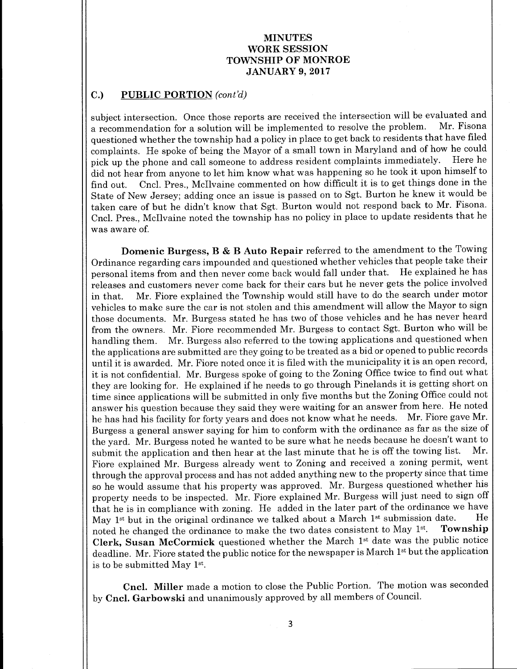# C.) PUBLIC PORTION (cont'd)

subject intersection. Once those reports are received the intersection will be evaluated and<br>a recommendation for a solution will be implemented to resolve the problem. Mr. Fisona a recommendation for a solution will be implemented to resolve the problem. questioned whether the township had a policy in place to get back to residents that have filed complaints. He spoke of being the Mayor of a small town in Maryland and of how he could<br>pick up the phone and call someone to address resident complaints immediately. Here he pick up the phone and call someone to address resident complaints immediately. did not hear from anyone to let him know what was happening so he took it upon himself to find out. Cncl. Pres., Mcllvaine commented on how difficult it is to get things done in the State of New Jersey; adding once an issue is passed on to Sgt. Burton he knew it would be taken care of but he didn't know that Sgt. Burton would not respond back to Mr. Fisona. Cncl. Pres., McIlvaine noted the township has no policy in place to update residents that he was aware of.

Domenic Burgess, B & B Auto Repair referred to the amendment to the Towing Ordinance regarding cars impounded and questioned whether vehicles that people take their<br>personal items from and then never come back would fall under that. He explained he has personal items from and then never come back would fall under that. releases and customers never come back for their cars but he never gets the police involved in that. Mr. Fiore explained the Township would still have to do the search under motor vehicles to make sure the car is not stolen and this amendment will allow the Mayor to sign those documents. Mr. Burgess stated he has two of those vehicles and he has never heard from the owners. Mr. Fiore recommended Mr. Burgess to contact Sgt. Burton who will be handling them. Mr. Burgess also referred to the towing applications and questioned when the applications are submitted are they going to be treated as a bid or opened to public records until it is awarded. Mr. Fiore noted once it is filed with the municipality it is an open record, it is not confidential. Mr. Burgess spoke of going to the Zoning Office twice to find out what they are looking for. He explained if he needs to go through Pinelands it is getting short on time since applications will be submitted in only five months but the Zoning Office could not answer his question because they said they were waiting for an answer from here. He noted<br>be has had his facility for forty years and does not know what he needs. Mr. Fiore gave Mr. he has had his facility for forty years and does not know what he needs. Burgess a general answer saying for him to conform with the ordinance as far as the size of the yard. Mr. Burgess noted he wanted to be sure what he needs because he doesn't want to submit the application and then hear at the last minute that he is off the towing list. Mr. Fiore explained Mr. Burgess already went to Zoning and received a zoning permit, went through the approval process and has not added anything new to the property since that time so he would assume that his property was approved. Mr. Burgess questioned whether his property needs to be inspected. Mr. Fiore explained Mr. Burgess will just need to sign off that he is in compliance with zoning. He added in the later part of the ordinance we have  $M_{\text{av}}$  1st but in the original ordinance we talked about a March 1st submission date. He May 1<sup>st</sup> but in the original ordinance we talked about a March 1<sup>st</sup> submission date. He<br>noted be changed the ordinance to make the two dates consistent to May 1<sup>st</sup>. **Township** noted he changed the ordinance to make the two dates consistent to May  $1^{st}$ . Clerk, Susan McCormick questioned whether the March 1st date was the public notice deadline. Mr. Fiore stated the public notice for the newspaper is March 1<sup>st</sup> but the application is to be submitted May 1st.

Cncl. Miller made <sup>a</sup> motion to close the Public Portion. The motion was seconded by Cncl. Garbowski and unanimously approved by all members of Council.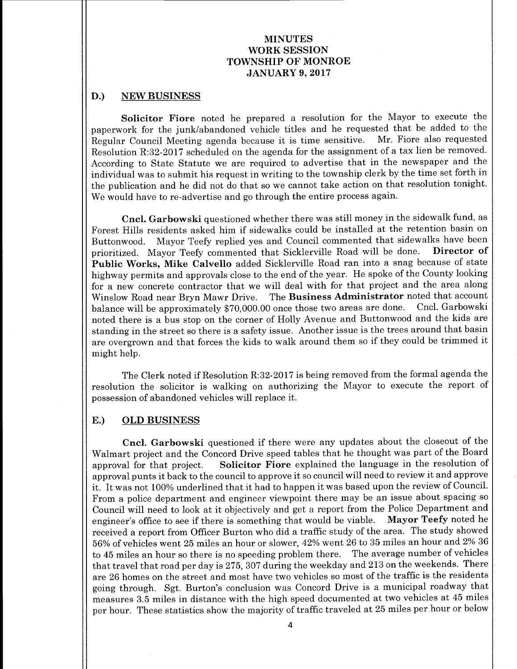#### D.) NEW BUSINESS

Solicitor Fiore noted he prepared <sup>a</sup> resolution for the Mayor to execute the paperwork for the junk/abandoned vehicle titles and he requested that be added to the<br>Regular Council Meeting agenda because it is time sensitive. Mr. Fiore also requested Regular Council Meeting agenda because it is time sensitive. Resolution R:32-2017 scheduled on the agenda for the assignment of a tax lien be removed. According to State Statute we are required to advertise that in the newspaper and the individual was to submit his request in writing to the township clerk by the time set forth in the publication and he did not do that so we cannot take action on that resolution tonight. We would have to re-advertise and go through the entire process again.

Cncl. Garbowski questioned whether there was still money in the sidewalk fund, as Forest Hills residents asked him if sidewalks could be installed at the retention basin on Buttonwood. Mayor Teefy replied yes and Council commented that sidewalks have been<br>prioritized. Mayor Teefy commented that Sicklerville Road will be done. Director of prioritized. Mayor Teefy commented that Sicklerville Road will be done. Public Works, Mike Calvello added Sicklerville Road ran into a snag because of state highway permits and approvals close to the end of the year. He spoke of the County looking for <sup>a</sup> new concrete contractor that we will deal with for that project and the area along Winslow Road near Bryn Mawr Drive. The Business Administrator noted that account balance will be approximately \$70,000.00 once those two areas are done. Cncl. Garbowski noted there is a bus stop on the corner of Holly Avenue and Buttonwood and the kids are standing in the street so there is a safety issue. Another issue is the trees around that basin are overgrown and that forces the kids to walk around them so if they could be trimmed it might help.

The Clerk noted if Resolution R:32-2017 is being removed from the formal agenda the resolution the solicitor is walking on authorizing the Mayor to execute the report of possession of abandoned vehicles will replace it.

#### E.) OLD BUSINESS

Cncl. Garbowski questioned if there were any updates about the closeout of the Walmart project and the Concord Drive speed tables that he thought was part of the Board approval for that project. Solicitor Fiore explained the language in the resolution of approval punts it back to the council to approve it so council will need to review it and approve it. It was not 100% underlined that it had to happen it was based upon the review of Council. From a police department and engineer viewpoint there may be an issue about spacing so Council will need to look at it objectively and get <sup>a</sup> report from the Police Department and engineer'<sup>s</sup> office to see if there is something that would be viable. Mayor Teefy noted he received a report from Officer Burton who did a traffic study of the area. The study showed 56% of vehicles went 25 miles an hour or slower, 42% went 26 to 35 miles an hour and 2% 36 to <sup>45</sup> miles an hour so there is no speeding problem there. The average number of vehicles that travel that road per day is 275, 307 during the weekday and 213 on the weekends. There are 26 homes on the street and most have two vehicles so most of the traffic is the residents going through. Sgt. Burton's conclusion was Concord Drive is <sup>a</sup> municipal roadway that measures 3.5 miles in distance with the high speed documented at two vehicles at 45 miles per hour. These statistics show the majority of traffic traveled at 25 miles per hour or below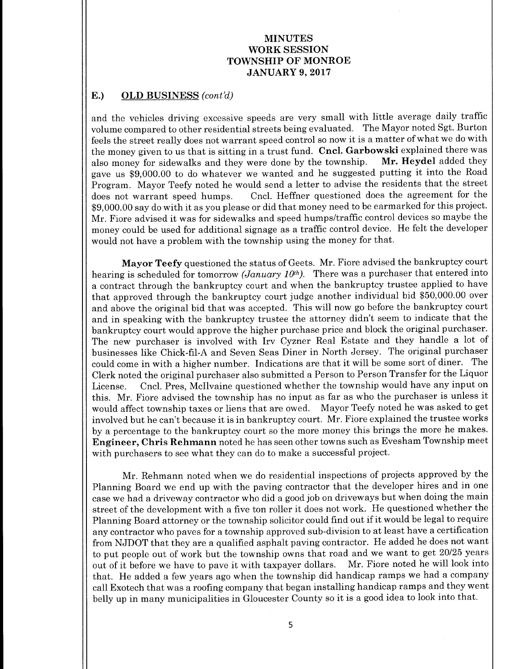#### E.) OLD BUSINESS (cont'd)

and the vehicles driving excessive speeds are very small with little average daily traffic volume compared to other residential streets being evaluated. The Mayor noted Sgt. Burton feels the street really does not warrant speed control so now it is <sup>a</sup> matter of what we do with the money given to us that is sitting in a trust fund. Cncl. Garbowski explained there was<br>also money for sidewalks and they were done by the township. Mr. Heydel added they also money for sidewalks and they were done by the township. gave us \$9,000.00 to do whatever we wanted and he suggested putting it into the Road Program. Mayor Teefy noted he would send a letter to advise the residents that the street<br>does not warrant speed humps. Cncl. Heffner questioned does the agreement for the Cncl. Heffner questioned does the agreement for the 9, 000.00 say do with it as you please or did that money need to be earmarked for this project. Mr. Fiore advised it was for sidewalks and speed humps/traffic control devices so maybe the money could be used for additional signage as <sup>a</sup> traffic control device. He felt the developer would not have a problem with the township using the money for that.

Mayor Teefy questioned the status of Geets. Mr. Fiore advised the bankruptcy court hearing is scheduled for tomorrow (January 10<sup>th</sup>). There was a purchaser that entered into a contract through the bankruptcy court and when the bankruptcy trustee applied to have that approved through the bankruptcy court judge another individual bid \$50,000.00 over and above the original bid that was accepted. This will now go before the bankruptcy court and in speaking with the bankruptcy trustee the attorney didn't seem to indicate that the bankruptcy court would approve the higher purchase price and block the original purchaser. The new purchaser is involved with Iry Cyzner Real Estate and they handle <sup>a</sup> lot of businesses like Chick-fil-A and Seven Seas Diner in North Jersey. The original purchaser could come in with <sup>a</sup> higher number. Indications are that it will be some sort of diner. The Clerk noted the original purchaser also submitted a Person to Person Transfer for the Liquor License. Cncl. Pres, Mcllvaine questioned whether the township would have any input on this. Mr. Fiore advised the township has no input as far as who the purchaser is unless it would affect township taxes or liens that are owed. Mayor Teefy noted he was asked to get involved but he can't because it is in bankruptcy court. Mr. Fiore explained the trustee works by a percentage to the bankruptcy court so the more money this brings the more he makes. Engineer, Chris Rehmann noted he has seen other towns such as Evesham Township meet with purchasers to see what they can do to make a successful project.

Mr. Rehmann noted when we do residential inspections of projects approved by the Planning Board we end up with the paving contractor that the developer hires and in one case we had a driveway contractor who did a good job on driveways but when doing the main street of the development with <sup>a</sup> five ton roller it does not work. He questioned whether the Planning Board attorney or the township solicitor could find out if it would be legal to require any contractor who paves for a township approved sub-division to at least have a certification from NJDOT that they are a qualified asphalt paving contractor. He added he does not want to put people out of work but the township owns that road and we want to get 20/25 years<br>out of it before we have to pave it with taxpayer dollars. Mr. Fiore noted he will look into out of it before we have to pave it with taxpayer dollars. that. He added <sup>a</sup> few years ago when the township did handicap ramps we had a company call Exotech that was a roofing company that began installing handicap ramps and they went belly up in many municipalities in Gloucester County so it is <sup>a</sup> good idea to look into that.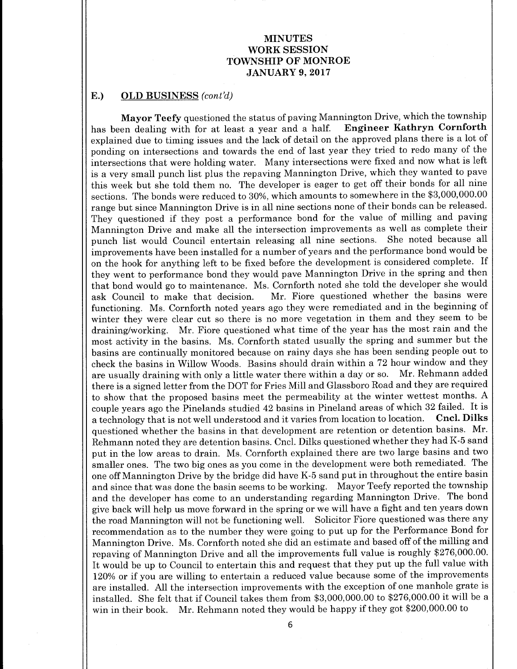#### E.) OLD BUSINESS (cont'd)

**Mayor Teefy** questioned the status of paving Mannington Drive, which the township<br>en dealing with for at least a vear and a half. Engineer Kathryn Cornforth has been dealing with for at least a year and a half. explained due to timing issues and the lack of detail on the approved plans there is a lot of ponding on intersections and towards the end of last year they tried to redo many of the intersections that were holding water. Many intersections were fixed and now what is left is a very small punch list plus the repaving Mannington Drive, which they wanted to pave this week but she told them no. The developer is eager to get off their bonds for all nine sections. The bonds were reduced to 30%, which amounts to somewhere in the \$3, 000,000.00 range but since Mannington Drive is in all nine sections none of their bonds can be released. They questioned if they post <sup>a</sup> performance bond for the value of milling and paving Mannington Drive and make all the intersection improvements as well as complete their punch list would Council entertain releasing all nine sections. She noted because all improvements have been installed for a number of years and the performance bond would be on the hook for anything left to be fixed before the development is considered complete. If they went to performance bond they would pave Mannington Drive in the spring and then that bond would go to maintenance. Ms. Cornforth noted she told the developer she would ask Council to make that decision. Mr. Fiore questioned whether the basins were functioning. Ms. Cornforth noted years ago they were remediated and in the beginning of winter they were clear cut so there is no more vegetation in them and they seem to be draining/working. Mr. Fiore questioned what time of the year has the most rain and the most activity in the basins. Ms. Cornforth stated usually the spring and summer but the basins are continually monitored because on rainy days she has been sending people out to check the basins in Willow Woods. Basins should drain within a 72 hour window and they are usually draining with only <sup>a</sup> little water there within <sup>a</sup> day or so. Mr. Rehmann added there is <sup>a</sup> signed letter from the DOT for Fries Mill and Glassboro Road and they are required to show that the proposed basins meet the permeability at the winter wettest months. A couple years ago the Pinelands studied <sup>42</sup> basins in Pineland areas of which <sup>32</sup> failed. It is a technology that is not well understood and it varies from location to location. Cncl. Dilks questioned whether the basins in that development are retention or detention basins. Mr. Rehmann noted they are detention basins. Cncl. Dilks questioned whether they had K-5 sand put in the low areas to drain. Ms. Cornforth explained there are two large basins and two smaller ones. The two big ones as you come in the development were both remediated. The one off Mannington Drive by the bridge did have K-5 sand put in throughout the entire basin and since that was done the basin seems to be working. Mayor Teefy reported the township and the developer has come to an understanding regarding Mannington Drive. The bond give back will help us move forward in the spring or we will have <sup>a</sup> fight and ten years down the road Mannington will not be functioning well. Solicitor Fiore questioned was there any recommendation as to the number they were going to put up for the Performance Bond for Mannington Drive. Ms. Cornforth noted she did an estimate and based off of the milling and repaving of Mannington Drive and all the improvements full value is roughly \$276,000.00. It would be up to Council to entertain this and request that they put up the full value with 120% or if you are willing to entertain <sup>a</sup> reduced value because some of the improvements are installed. All the intersection improvements with the exception of one manhole grate is installed. She felt that if Council takes them from \$3,000,000.00 to \$276,000.00 it will be a win in their book. Mr. Rehmann noted they would be happy if they got \$200,000.00 to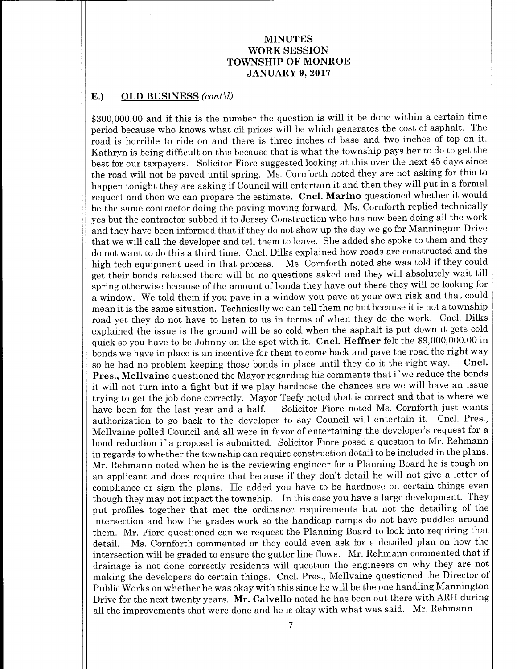#### E.) OLD BUSINESS  $(cont'd)$

300,000.00 and if this is the number the question is will it be done within <sup>a</sup> certain time period because who knows what oil prices will be which generates the cost of asphalt. The road is horrible to ride on and there is three inches of base and two inches of top on it. Kathryn is being difficult on this because that is what the township pays her to do to get the best for our taxpayers. Solicitor Fiore suggested looking at this over the next 45 days since the road will not be paved until spring. Ms. Cornforth noted they are not asking for this to happen tonight they are asking if Council will entertain it and then they will put in <sup>a</sup> formal request and then we can prepare the estimate. Cncl. Marino questioned whether it would be the same contractor doing the paving moving forward. Ms. Cornforth replied technically yes but the contractor subbed it to Jersey Construction who has now been doing all the work and they have been informed that if they do not show up the day we go for Mannington Drive that we will call the developer and tell them to leave. She added she spoke to them and they do not want to do this a third time. Cncl. Dilks explained how roads are constructed and the high tech equipment used in that process. Ms. Cornforth noted she was told if they could get their bonds released there will be no questions asked and they will absolutely wait till spring otherwise because of the amount of bonds they have out there they will be looking for <sup>a</sup> window. We told them if you pave in <sup>a</sup> window you pave at your own risk and that could mean it is the same situation. Technically we can tell them no but because it is not <sup>a</sup> township road yet they do not have to listen to us in terms of when they do the work. Cncl. Dilks explained the issue is the ground will be so cold when the asphalt is put down it gets cold quick so you have to be Johnny on the spot with it. Cncl. Heffner felt the \$9,000,000.00 in bonds we have in place is an incentive for them to come back and pave the road the right way<br>so he had no problem keeping those bonds in place until they do it the right way. Cncl. so he had no problem keeping those bonds in place until they do it the right way. Pres., Mcllvaine questioned the Mayor regarding his comments that if we reduce the bonds it will not turn into <sup>a</sup> fight but if we play hardnose the chances are we will have an issue trying to get the job done correctly. Mayor Teefy noted that is correct and that is where we<br>have been for the last year and a half. Solicitor Fiore noted Ms. Cornforth just wants Solicitor Fiore noted Ms. Cornforth just wants authorization to go back to the developer to say Council will entertain it. Cncl. Pres., McIlvaine polled Council and all were in favor of entertaining the developer's request for a bond reduction if <sup>a</sup> proposal is submitted. Solicitor Fiore posed <sup>a</sup> question to Mr. Rehmann in regards to whether the township can require construction detail to be included in the plans. Mr. Rehmann noted when he is the reviewing engineer for a Planning Board he is tough on an applicant and does require that because if they don't detail he will not give <sup>a</sup> letter of compliance or sign the plans. He added you have to be hardnose on certain things even though they may not impact the township. In this case you have <sup>a</sup> large development. They put profiles together that met the ordinance requirements but not the detailing of the intersection and how the grades work so the handicap ramps do not have puddles around them. Mr. Fiore questioned can we request the Planning Board to look into requiring that detail. Ms. Cornforth commented or they could even ask for a detailed plan on how the intersection will be graded to ensure the gutter line flows. Mr. Rehmann commented that if drainage is not done correctly residents will question the engineers on why they are not making the developers do certain things. Cncl. Pres., McIlvaine questioned the Director of Public Works on whether he was okay with this since he will be the one handling Mannington Drive for the next twenty years. Mr. Calvello noted he has been out there with ARH during all the improvements that were done and he is okay with what was said. Mr. Rehmann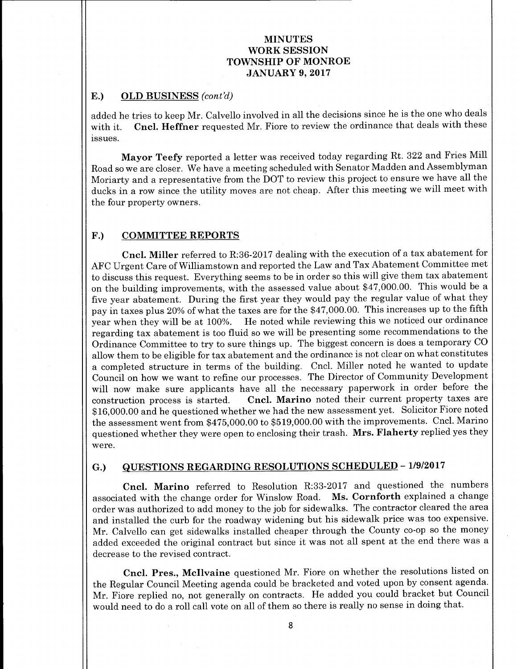# E.) OLD BUSINESS (cont'd)

added he tries to keep Mr. Calvello involved in all the decisions since he is the one who deals with it. Cncl. Heffner requested Mr. Fiore to review the ordinance that deals with these issues.

Mayor Teefy reported a letter was received today regarding Rt. 322 and Fries Mill Road so we are closer. We have a meeting scheduled with Senator Madden and Assemblyman Moriarty and a representative from the DOT to review this project to ensure we have all the ducks in <sup>a</sup> row since the utility moves are not cheap. After this meeting we will meet with the four property owners.

#### F.) COMMITTEE REPORTS

Cncl. Miller referred to R:36-2017 dealing with the execution of a tax abatement for AFC Urgent Care of Williamstown and reported the Law and Tax Abatement Committee met to discuss this request. Everything seems to be in order so this will give them tax abatement on the building improvements, with the assessed value about \$47,000.00. This would be a five year abatement. During the first year they would pay the regular value of what they pay in taxes plus 20% of what the taxes are for the \$47, 000. 00. This increases up to the fifth year when they will be at 100%. He noted while reviewing this we noticed our ordinance regarding tax abatement is too fluid so we will be presenting some recommendations to the Ordinance Committee to try to sure things up. The biggest concern is does <sup>a</sup> temporary CO allow them to be eligible for tax abatement and the ordinance is not clear on what constitutes <sup>a</sup> completed structure in terms of the building. Cncl. Miller noted he wanted to update Council on how we want to refine our processes. The Director of Community Development will now make sure applicants have all the necessary paperwork in order before the construction process is started. Cncl. Marino noted their current property taxes are 16, 000.00 and he questioned whether we had the new assessment yet. Solicitor Fiore noted the assessment went from \$475,000.00 to \$519,000.00 with the improvements. Cncl. Marino questioned whether they were open to enclosing their trash. Mrs. Flaherty replied yes they were.

# G.) QUESTIONS REGARDING RESOLUTIONS SCHEDULED - 1/9/2017

Cncl. Marino referred to Resolution R:33- 2017 and questioned the numbers associated with the change order for Winslow Road. Ms. Cornforth explained <sup>a</sup> change order was authorized to add money to the job for sidewalks. The contractor cleared the area and installed the curb for the roadway widening but his sidewalk price was too expensive. Mr. Calvello can get sidewalks installed cheaper through the County co-op so the money added exceeded the original contract but since it was not all spent at the end there was <sup>a</sup> decrease to the revised contract.

Cncl. Pres., Mcllvaine questioned Mr. Fiore on whether the resolutions listed on the Regular Council Meeting agenda could be bracketed and voted upon by consent agenda. Mr. Fiore replied no, not generally on contracts. He added you could bracket but Council would need to do a roll call vote on all of them so there is really no sense in doing that.